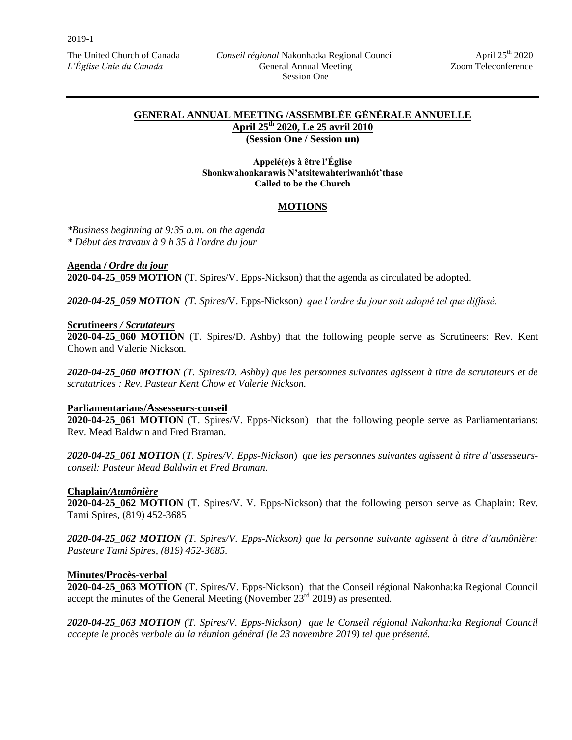## **GENERAL ANNUAL MEETING /ASSEMBLÉE GÉNÉRALE ANNUELLE April 25th 2020, Le 25 avril 2010**

**(Session One / Session un)**

**Appelé(e)s à être l'Église Shonkwahonkarawis N'atsitewahteriwanhót'thase Called to be the Church**

#### **MOTIONS**

*\*Business beginning at 9:35 a.m. on the agenda \* Début des travaux à 9 h 35 à l'ordre du jour*

**Agenda /** *Ordre du jour*

**2020-04-25\_059 MOTION** (T. Spires/V. Epps-Nickson) that the agenda as circulated be adopted.

*2020-04-25\_059 MOTION (T. Spires/*V. Epps-Nickson*) que l'ordre du jour soit adopté tel que diffusé.* 

#### **Scrutineers** */ Scrutateurs*

**2020-04-25\_060 MOTION** (T. Spires/D. Ashby) that the following people serve as Scrutineers: Rev. Kent Chown and Valerie Nickson.

*2020-04-25\_060 MOTION (T. Spires/D. Ashby) que les personnes suivantes agissent à titre de scrutateurs et de scrutatrices : Rev. Pasteur Kent Chow et Valerie Nickson.*

#### **Parliamentarians/Assesseurs-conseil**

**2020-04-25\_061 MOTION** (T. Spires/V. Epps-Nickson) that the following people serve as Parliamentarians: Rev. Mead Baldwin and Fred Braman.

*2020-04-25\_061 MOTION* (*T. Spires/V. Epps-Nickson*) *que les personnes suivantes agissent à titre d'assesseursconseil: Pasteur Mead Baldwin et Fred Braman.*

#### **Chaplain***/Aumônière*

**2020-04-25\_062 MOTION** (T. Spires/V. V. Epps-Nickson) that the following person serve as Chaplain: Rev. Tami Spires, (819) 452-3685

*2020-04-25\_062 MOTION (T. Spires/V. Epps-Nickson) que la personne suivante agissent à titre d'aumônière: Pasteure Tami Spires, (819) 452-3685.*

#### **Minutes/Procès-verbal**

**2020-04-25\_063 MOTION** (T. Spires/V. Epps-Nickson) that the Conseil régional Nakonha:ka Regional Council accept the minutes of the General Meeting (November  $23<sup>rd</sup> 2019$ ) as presented.

*2020-04-25\_063 MOTION (T. Spires/V. Epps-Nickson) que le Conseil régional Nakonha:ka Regional Council accepte le procès verbale du la réunion général (le 23 novembre 2019) tel que présenté.*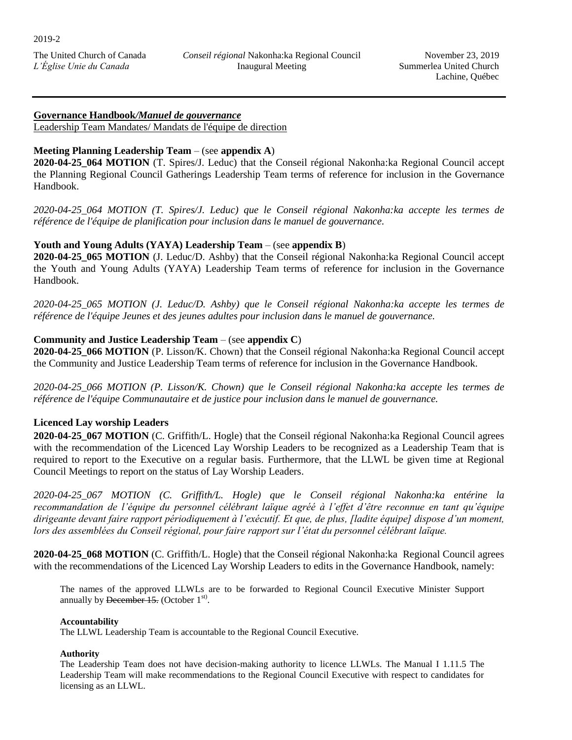# **Governance Handbook***/Manuel de gouvernance*

Leadership Team Mandates/ Mandats de l'équipe de direction

## **Meeting Planning Leadership Team** – (see **appendix A**)

**2020-04-25\_064 MOTION** (T. Spires/J. Leduc) that the Conseil régional Nakonha:ka Regional Council accept the Planning Regional Council Gatherings Leadership Team terms of reference for inclusion in the Governance Handbook.

*2020-04-25\_064 MOTION (T. Spires/J. Leduc) que le Conseil régional Nakonha:ka accepte les termes de référence de l'équipe de planification pour inclusion dans le manuel de gouvernance.*

## **Youth and Young Adults (YAYA) Leadership Team** – (see **appendix B**)

**2020-04-25\_065 MOTION** (J. Leduc/D. Ashby) that the Conseil régional Nakonha:ka Regional Council accept the Youth and Young Adults (YAYA) Leadership Team terms of reference for inclusion in the Governance Handbook.

*2020-04-25\_065 MOTION (J. Leduc/D. Ashby) que le Conseil régional Nakonha:ka accepte les termes de référence de l'équipe Jeunes et des jeunes adultes pour inclusion dans le manuel de gouvernance.*

## **Community and Justice Leadership Team** – (see **appendix C**)

**2020-04-25\_066 MOTION** (P. Lisson/K. Chown) that the Conseil régional Nakonha:ka Regional Council accept the Community and Justice Leadership Team terms of reference for inclusion in the Governance Handbook.

*2020-04-25\_066 MOTION (P. Lisson/K. Chown) que le Conseil régional Nakonha:ka accepte les termes de référence de l'équipe Communautaire et de justice pour inclusion dans le manuel de gouvernance.*

## **Licenced Lay worship Leaders**

**2020-04-25\_067 MOTION** (C. Griffith/L. Hogle) that the Conseil régional Nakonha:ka Regional Council agrees with the recommendation of the Licenced Lay Worship Leaders to be recognized as a Leadership Team that is required to report to the Executive on a regular basis. Furthermore, that the LLWL be given time at Regional Council Meetings to report on the status of Lay Worship Leaders.

*2020-04-25\_067 MOTION (C. Griffith/L. Hogle) que le Conseil régional Nakonha:ka entérine la recommandation de l'équipe du personnel célébrant laïque agréé à l'effet d'être reconnue en tant qu'équipe dirigeante devant faire rapport périodiquement à l'exécutif. Et que, de plus, [ladite équipe] dispose d'un moment, lors des assemblées du Conseil régional, pour faire rapport sur l'état du personnel célébrant laïque.*

**2020-04-25\_068 MOTION** (C. Griffith/L. Hogle) that the Conseil régional Nakonha:ka Regional Council agrees with the recommendations of the Licenced Lay Worship Leaders to edits in the Governance Handbook, namely:

The names of the approved LLWLs are to be forwarded to Regional Council Executive Minister Support annually by December 15. (October  $1^{st}$ ).

#### **Accountability**

The LLWL Leadership Team is accountable to the Regional Council Executive.

#### **Authority**

The Leadership Team does not have decision-making authority to licence LLWLs. The Manual I 1.11.5 The Leadership Team will make recommendations to the Regional Council Executive with respect to candidates for licensing as an LLWL.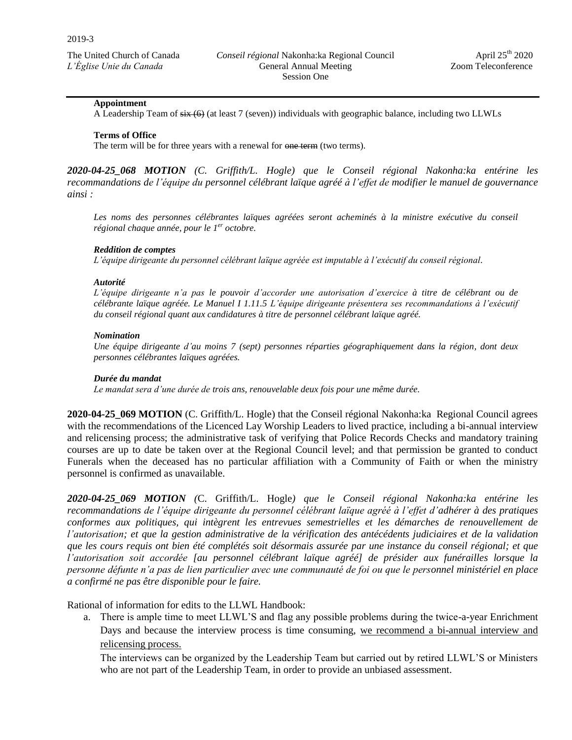#### **Appointment**

A Leadership Team of six (6) (at least 7 (seven)) individuals with geographic balance, including two LLWLs

#### **Terms of Office**

The term will be for three years with a renewal for one term (two terms).

*2020-04-25\_068 MOTION (C. Griffith/L. Hogle) que le Conseil régional Nakonha:ka entérine les recommandations de l'équipe du personnel célébrant laïque agréé à l'effet de modifier le manuel de gouvernance ainsi :*

Les noms des personnes célébrantes laïques agréées seront acheminés à la ministre exécutive du conseil *régional chaque année, pour le 1 er octobre.*

#### *Reddition de comptes*

*L'équipe dirigeante du personnel célébrant laïque agréée est imputable à l'exécutif du conseil régional.* 

#### *Autorité*

*L'équipe dirigeante n'a pas le pouvoir d'accorder une autorisation d'exercice à titre de célébrant ou de célébrante laïque agréée. Le Manuel I 1.11.5 L'équipe dirigeante présentera ses recommandations à l'exécutif du conseil régional quant aux candidatures à titre de personnel célébrant laïque agréé.* 

#### *Nomination*

*Une équipe dirigeante d'au moins 7 (sept) personnes réparties géographiquement dans la région, dont deux personnes célébrantes laïques agréées.*

#### *Durée du mandat*

*Le mandat sera d'une durée de trois ans, renouvelable deux fois pour une même durée.*

**2020-04-25\_069 MOTION** (C. Griffith/L. Hogle) that the Conseil régional Nakonha:ka Regional Council agrees with the recommendations of the Licenced Lay Worship Leaders to lived practice, including a bi-annual interview and relicensing process; the administrative task of verifying that Police Records Checks and mandatory training courses are up to date be taken over at the Regional Council level; and that permission be granted to conduct Funerals when the deceased has no particular affiliation with a Community of Faith or when the ministry personnel is confirmed as unavailable.

*2020-04-25\_069 MOTION (*C. Griffith/L. Hogle*) que le Conseil régional Nakonha:ka entérine les recommandations de l'équipe dirigeante du personnel célébrant laïque agréé à l'effet d'adhérer à des pratiques conformes aux politiques, qui intègrent les entrevues semestrielles et les démarches de renouvellement de l'autorisation; et que la gestion administrative de la vérification des antécédents judiciaires et de la validation que les cours requis ont bien été complétés soit désormais assurée par une instance du conseil régional; et que l'autorisation soit accordée [au personnel célébrant laïque agréé] de présider aux funérailles lorsque la personne défunte n'a pas de lien particulier avec une communauté de foi ou que le personnel ministériel en place a confirmé ne pas être disponible pour le faire.*

Rational of information for edits to the LLWL Handbook:

a. There is ample time to meet LLWL'S and flag any possible problems during the twice-a-year Enrichment Days and because the interview process is time consuming, we recommend a bi-annual interview and relicensing process.

The interviews can be organized by the Leadership Team but carried out by retired LLWL'S or Ministers who are not part of the Leadership Team, in order to provide an unbiased assessment.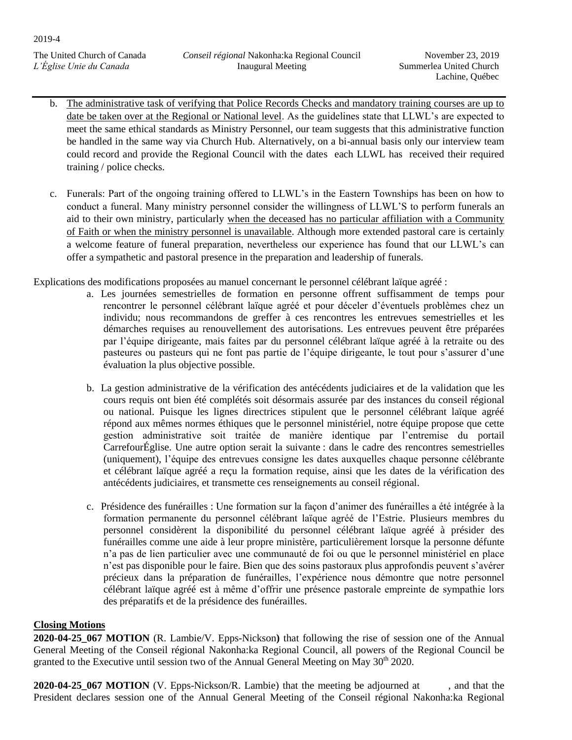- b. The administrative task of verifying that Police Records Checks and mandatory training courses are up to date be taken over at the Regional or National level. As the guidelines state that LLWL's are expected to meet the same ethical standards as Ministry Personnel, our team suggests that this administrative function be handled in the same way via Church Hub. Alternatively, on a bi-annual basis only our interview team could record and provide the Regional Council with the dates each LLWL has received their required training / police checks.
- c. Funerals: Part of the ongoing training offered to LLWL's in the Eastern Townships has been on how to conduct a funeral. Many ministry personnel consider the willingness of LLWL'S to perform funerals an aid to their own ministry, particularly when the deceased has no particular affiliation with a Community of Faith or when the ministry personnel is unavailable. Although more extended pastoral care is certainly a welcome feature of funeral preparation, nevertheless our experience has found that our LLWL's can offer a sympathetic and pastoral presence in the preparation and leadership of funerals.

Explications des modifications proposées au manuel concernant le personnel célébrant laïque agréé :

- a. Les journées semestrielles de formation en personne offrent suffisamment de temps pour rencontrer le personnel célébrant laïque agréé et pour déceler d'éventuels problèmes chez un individu; nous recommandons de greffer à ces rencontres les entrevues semestrielles et les démarches requises au renouvellement des autorisations. Les entrevues peuvent être préparées par l'équipe dirigeante, mais faites par du personnel célébrant laïque agréé à la retraite ou des pasteures ou pasteurs qui ne font pas partie de l'équipe dirigeante, le tout pour s'assurer d'une évaluation la plus objective possible.
- b. La gestion administrative de la vérification des antécédents judiciaires et de la validation que les cours requis ont bien été complétés soit désormais assurée par des instances du conseil régional ou national. Puisque les lignes directrices stipulent que le personnel célébrant laïque agréé répond aux mêmes normes éthiques que le personnel ministériel, notre équipe propose que cette gestion administrative soit traitée de manière identique par l'entremise du portail CarrefourÉglise. Une autre option serait la suivante : dans le cadre des rencontres semestrielles (uniquement), l'équipe des entrevues consigne les dates auxquelles chaque personne célébrante et célébrant laïque agréé a reçu la formation requise, ainsi que les dates de la vérification des antécédents judiciaires, et transmette ces renseignements au conseil régional.
- c. Présidence des funérailles : Une formation sur la façon d'animer des funérailles a été intégrée à la formation permanente du personnel célébrant laïque agréé de l'Estrie. Plusieurs membres du personnel considèrent la disponibilité du personnel célébrant laïque agréé à présider des funérailles comme une aide à leur propre ministère, particulièrement lorsque la personne défunte n'a pas de lien particulier avec une communauté de foi ou que le personnel ministériel en place n'est pas disponible pour le faire. Bien que des soins pastoraux plus approfondis peuvent s'avérer précieux dans la préparation de funérailles, l'expérience nous démontre que notre personnel célébrant laïque agréé est à même d'offrir une présence pastorale empreinte de sympathie lors des préparatifs et de la présidence des funérailles.

# **Closing Motions**

**2020-04-25\_067 MOTION** (R. Lambie/V. Epps-Nickson**)** that following the rise of session one of the Annual General Meeting of the Conseil régional Nakonha:ka Regional Council, all powers of the Regional Council be granted to the Executive until session two of the Annual General Meeting on May  $30<sup>th</sup> 2020$ .

**2020-04-25 067 MOTION** (V. Epps-Nickson/R. Lambie) that the meeting be adjourned at , and that the President declares session one of the Annual General Meeting of the Conseil régional Nakonha:ka Regional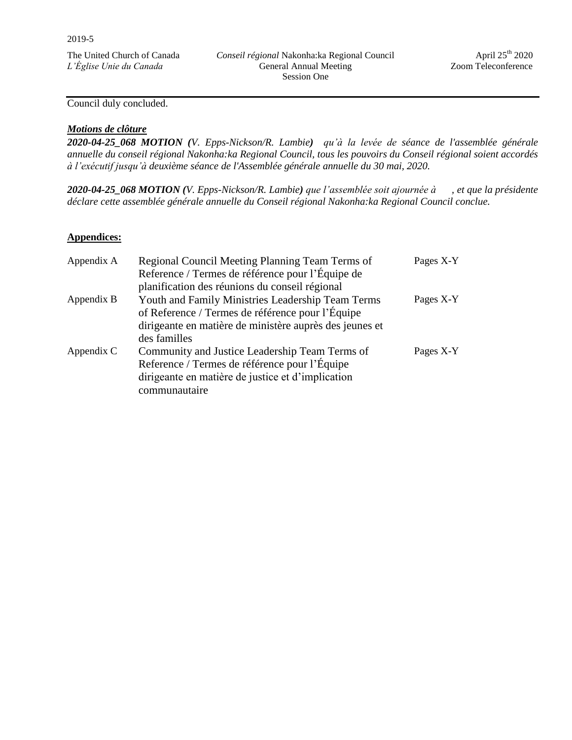Council duly concluded.

## *Motions de clôture*

*2020-04-25\_068 MOTION (V. Epps-Nickson/R. Lambie) qu'à la levée de séance de l'assemblée générale annuelle du conseil régional Nakonha:ka Regional Council, tous les pouvoirs du Conseil régional soient accordés à l'exécutif jusqu'à deuxième séance de l'Assemblée générale annuelle du 30 mai, 2020.* 

*2020-04-25\_068 MOTION (V. Epps-Nickson/R. Lambie) que l'assemblée soit ajournée à , et que la présidente déclare cette assemblée générale annuelle du Conseil régional Nakonha:ka Regional Council conclue.* 

#### **Appendices:**

| Appendix A | Regional Council Meeting Planning Team Terms of         | Pages X-Y |
|------------|---------------------------------------------------------|-----------|
|            | Reference / Termes de référence pour l'Équipe de        |           |
|            | planification des réunions du conseil régional          |           |
| Appendix B | Youth and Family Ministries Leadership Team Terms       | Pages X-Y |
|            | of Reference / Termes de référence pour l'Équipe        |           |
|            | dirigeante en matière de ministère auprès des jeunes et |           |
|            | des familles                                            |           |
| Appendix C | Community and Justice Leadership Team Terms of          | Pages X-Y |
|            | Reference / Termes de référence pour l'Équipe           |           |
|            | dirigeante en matière de justice et d'implication       |           |
|            | communautaire                                           |           |
|            |                                                         |           |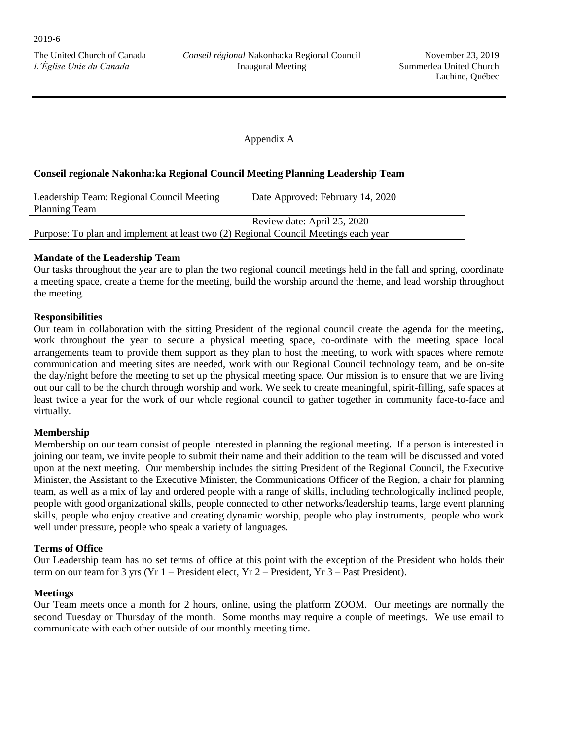# Appendix A

## **Conseil regionale Nakonha:ka Regional Council Meeting Planning Leadership Team**

| Leadership Team: Regional Council Meeting<br><b>Planning Team</b>                   | Date Approved: February 14, 2020 |  |
|-------------------------------------------------------------------------------------|----------------------------------|--|
|                                                                                     | Review date: April 25, 2020      |  |
| Purpose: To plan and implement at least two (2) Regional Council Meetings each year |                                  |  |

## **Mandate of the Leadership Team**

Our tasks throughout the year are to plan the two regional council meetings held in the fall and spring, coordinate a meeting space, create a theme for the meeting, build the worship around the theme, and lead worship throughout the meeting.

## **Responsibilities**

Our team in collaboration with the sitting President of the regional council create the agenda for the meeting, work throughout the year to secure a physical meeting space, co-ordinate with the meeting space local arrangements team to provide them support as they plan to host the meeting, to work with spaces where remote communication and meeting sites are needed, work with our Regional Council technology team, and be on-site the day/night before the meeting to set up the physical meeting space. Our mission is to ensure that we are living out our call to be the church through worship and work. We seek to create meaningful, spirit-filling, safe spaces at least twice a year for the work of our whole regional council to gather together in community face-to-face and virtually.

## **Membership**

Membership on our team consist of people interested in planning the regional meeting. If a person is interested in joining our team, we invite people to submit their name and their addition to the team will be discussed and voted upon at the next meeting. Our membership includes the sitting President of the Regional Council, the Executive Minister, the Assistant to the Executive Minister, the Communications Officer of the Region, a chair for planning team, as well as a mix of lay and ordered people with a range of skills, including technologically inclined people, people with good organizational skills, people connected to other networks/leadership teams, large event planning skills, people who enjoy creative and creating dynamic worship, people who play instruments, people who work well under pressure, people who speak a variety of languages.

## **Terms of Office**

Our Leadership team has no set terms of office at this point with the exception of the President who holds their term on our team for 3 yrs (Yr 1 – President elect, Yr 2 – President, Yr 3 – Past President).

## **Meetings**

Our Team meets once a month for 2 hours, online, using the platform ZOOM. Our meetings are normally the second Tuesday or Thursday of the month. Some months may require a couple of meetings. We use email to communicate with each other outside of our monthly meeting time.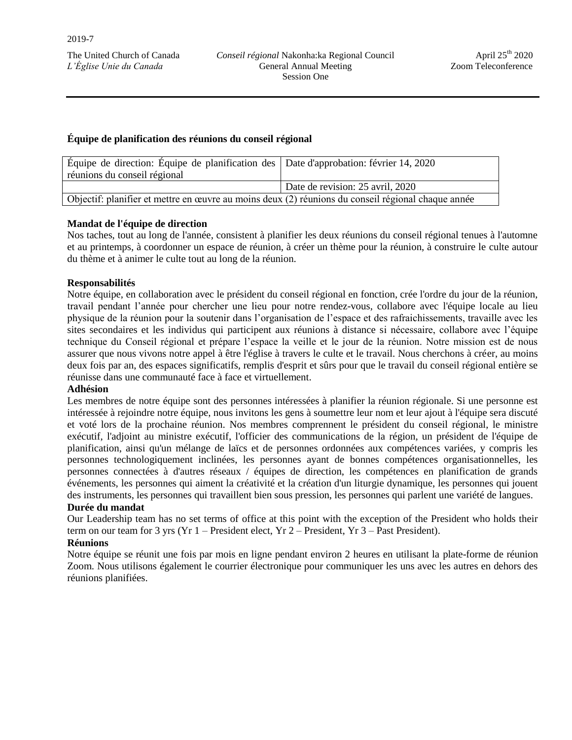## **Équipe de planification des réunions du conseil régional**

| Équipe de direction: Équipe de planification des Date d'approbation: février 14, 2020              |                                  |  |
|----------------------------------------------------------------------------------------------------|----------------------------------|--|
| réunions du conseil régional                                                                       |                                  |  |
|                                                                                                    | Date de revision: 25 avril, 2020 |  |
| Objectif: planifier et mettre en œuvre au moins deux (2) réunions du conseil régional chaque année |                                  |  |

# **Mandat de l'équipe de direction**

Nos taches, tout au long de l'année, consistent à planifier les deux réunions du conseil régional tenues à l'automne et au printemps, à coordonner un espace de réunion, à créer un thème pour la réunion, à construire le culte autour du thème et à animer le culte tout au long de la réunion.

## **Responsabilités**

Notre équipe, en collaboration avec le président du conseil régional en fonction, crée l'ordre du jour de la réunion, travail pendant l'année pour chercher une lieu pour notre rendez-vous, collabore avec l'équipe locale au lieu physique de la réunion pour la soutenir dans l'organisation de l'espace et des rafraichissements, travaille avec les sites secondaires et les individus qui participent aux réunions à distance si nécessaire, collabore avec l'équipe technique du Conseil régional et prépare l'espace la veille et le jour de la réunion. Notre mission est de nous assurer que nous vivons notre appel à être l'église à travers le culte et le travail. Nous cherchons à créer, au moins deux fois par an, des espaces significatifs, remplis d'esprit et sûrs pour que le travail du conseil régional entière se réunisse dans une communauté face à face et virtuellement.

## **Adhésion**

Les membres de notre équipe sont des personnes intéressées à planifier la réunion régionale. Si une personne est intéressée à rejoindre notre équipe, nous invitons les gens à soumettre leur nom et leur ajout à l'équipe sera discuté et voté lors de la prochaine réunion. Nos membres comprennent le président du conseil régional, le ministre exécutif, l'adjoint au ministre exécutif, l'officier des communications de la région, un président de l'équipe de planification, ainsi qu'un mélange de laïcs et de personnes ordonnées aux compétences variées, y compris les personnes technologiquement inclinées, les personnes ayant de bonnes compétences organisationnelles, les personnes connectées à d'autres réseaux / équipes de direction, les compétences en planification de grands événements, les personnes qui aiment la créativité et la création d'un liturgie dynamique, les personnes qui jouent des instruments, les personnes qui travaillent bien sous pression, les personnes qui parlent une variété de langues.

## **Durée du mandat**

Our Leadership team has no set terms of office at this point with the exception of the President who holds their term on our team for 3 yrs (Yr 1 – President elect, Yr 2 – President, Yr 3 – Past President).

## **Réunions**

Notre équipe se réunit une fois par mois en ligne pendant environ 2 heures en utilisant la plate-forme de réunion Zoom. Nous utilisons également le courrier électronique pour communiquer les uns avec les autres en dehors des réunions planifiées.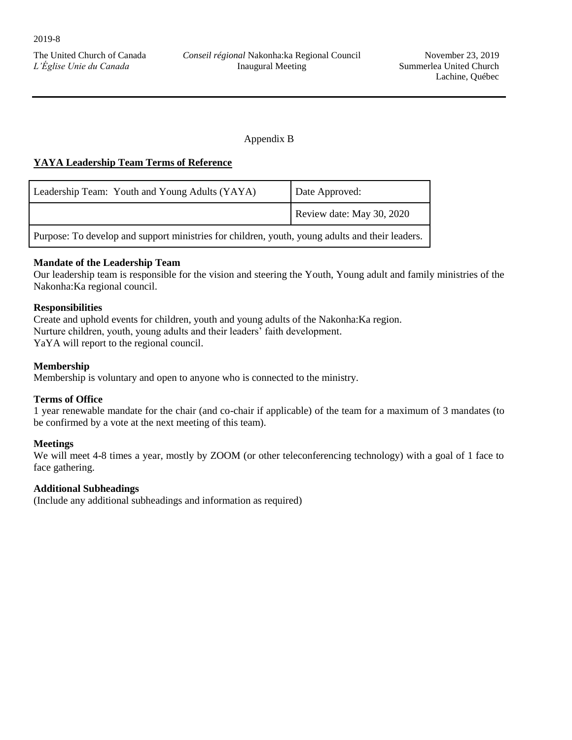# Appendix B

## **YAYA Leadership Team Terms of Reference**

| Leadership Team: Youth and Young Adults (YAYA)                                                  | Date Approved:            |  |
|-------------------------------------------------------------------------------------------------|---------------------------|--|
|                                                                                                 | Review date: May 30, 2020 |  |
| Purpose: To develop and support ministries for children, youth, young adults and their leaders. |                           |  |

## **Mandate of the Leadership Team**

Our leadership team is responsible for the vision and steering the Youth, Young adult and family ministries of the Nakonha:Ka regional council.

## **Responsibilities**

Create and uphold events for children, youth and young adults of the Nakonha:Ka region. Nurture children, youth, young adults and their leaders' faith development. YaYA will report to the regional council.

## **Membership**

Membership is voluntary and open to anyone who is connected to the ministry.

## **Terms of Office**

1 year renewable mandate for the chair (and co-chair if applicable) of the team for a maximum of 3 mandates (to be confirmed by a vote at the next meeting of this team).

## **Meetings**

We will meet 4-8 times a year, mostly by ZOOM (or other teleconferencing technology) with a goal of 1 face to face gathering.

## **Additional Subheadings**

(Include any additional subheadings and information as required)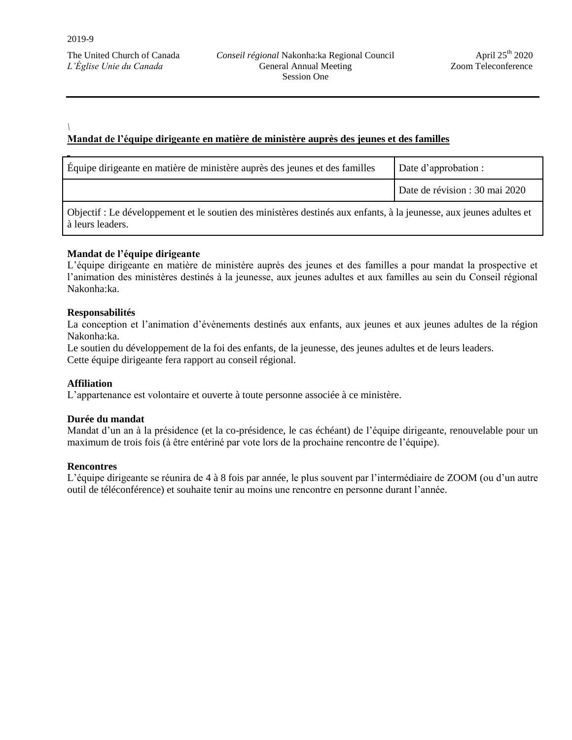#### *\* **Mandat de l'équipe dirigeante en matière de ministère auprès des jeunes et des familles**

| Équipe dirigeante en matière de ministère auprès des jeunes et des familles                                         | Date d'approbation :           |  |
|---------------------------------------------------------------------------------------------------------------------|--------------------------------|--|
|                                                                                                                     | Date de révision : 30 mai 2020 |  |
| Objectif : Le développement et le soutien des ministères destinés aux enfants, à la jeunesse, aux jeunes adultes et |                                |  |

## **Mandat de l'équipe dirigeante**

L'équipe dirigeante en matière de ministère auprès des jeunes et des familles a pour mandat la prospective et l'animation des ministères destinés à la jeunesse, aux jeunes adultes et aux familles au sein du Conseil régional Nakonha:ka.

#### **Responsabilités**

à leurs leaders.

La conception et l'animation d'évènements destinés aux enfants, aux jeunes et aux jeunes adultes de la région Nakonha:ka.

Le soutien du développement de la foi des enfants, de la jeunesse, des jeunes adultes et de leurs leaders. Cette équipe dirigeante fera rapport au conseil régional.

#### **Affiliation**

L'appartenance est volontaire et ouverte à toute personne associée à ce ministère.

#### **Durée du mandat**

Mandat d'un an à la présidence (et la co-présidence, le cas échéant) de l'équipe dirigeante, renouvelable pour un maximum de trois fois (à être entériné par vote lors de la prochaine rencontre de l'équipe).

#### **Rencontres**

L'équipe dirigeante se réunira de 4 à 8 fois par année, le plus souvent par l'intermédiaire de ZOOM (ou d'un autre outil de téléconférence) et souhaite tenir au moins une rencontre en personne durant l'année.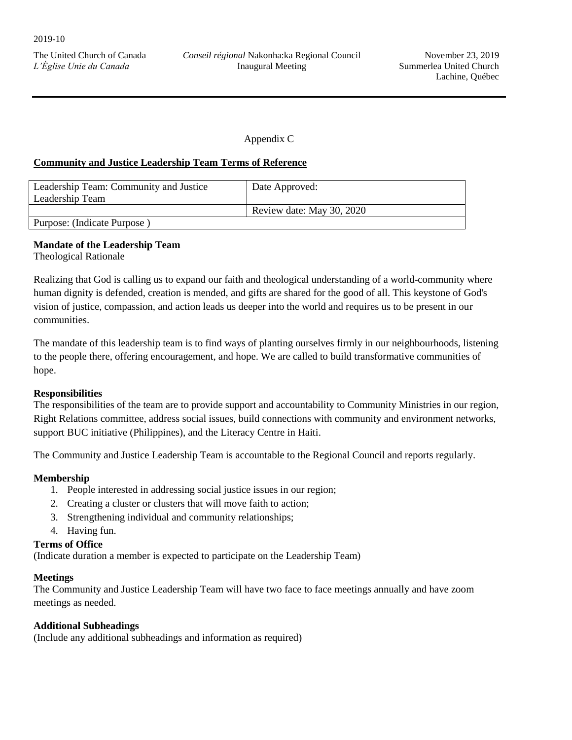Appendix C

## **Community and Justice Leadership Team Terms of Reference**

| Leadership Team: Community and Justice | Date Approved:            |  |
|----------------------------------------|---------------------------|--|
| Leadership Team                        |                           |  |
|                                        | Review date: May 30, 2020 |  |
| Purpose: (Indicate Purpose)            |                           |  |

# **Mandate of the Leadership Team**

Theological Rationale

Realizing that God is calling us to expand our faith and theological understanding of a world-community where human dignity is defended, creation is mended, and gifts are shared for the good of all. This keystone of God's vision of justice, compassion, and action leads us deeper into the world and requires us to be present in our communities.

The mandate of this leadership team is to find ways of planting ourselves firmly in our neighbourhoods, listening to the people there, offering encouragement, and hope. We are called to build transformative communities of hope.

# **Responsibilities**

The responsibilities of the team are to provide support and accountability to Community Ministries in our region, Right Relations committee, address social issues, build connections with community and environment networks, support BUC initiative (Philippines), and the Literacy Centre in Haiti.

The Community and Justice Leadership Team is accountable to the Regional Council and reports regularly.

# **Membership**

- 1. People interested in addressing social justice issues in our region;
- 2. Creating a cluster or clusters that will move faith to action;
- 3. Strengthening individual and community relationships;
- 4. Having fun.

## **Terms of Office**

(Indicate duration a member is expected to participate on the Leadership Team)

## **Meetings**

The Community and Justice Leadership Team will have two face to face meetings annually and have zoom meetings as needed.

## **Additional Subheadings**

(Include any additional subheadings and information as required)